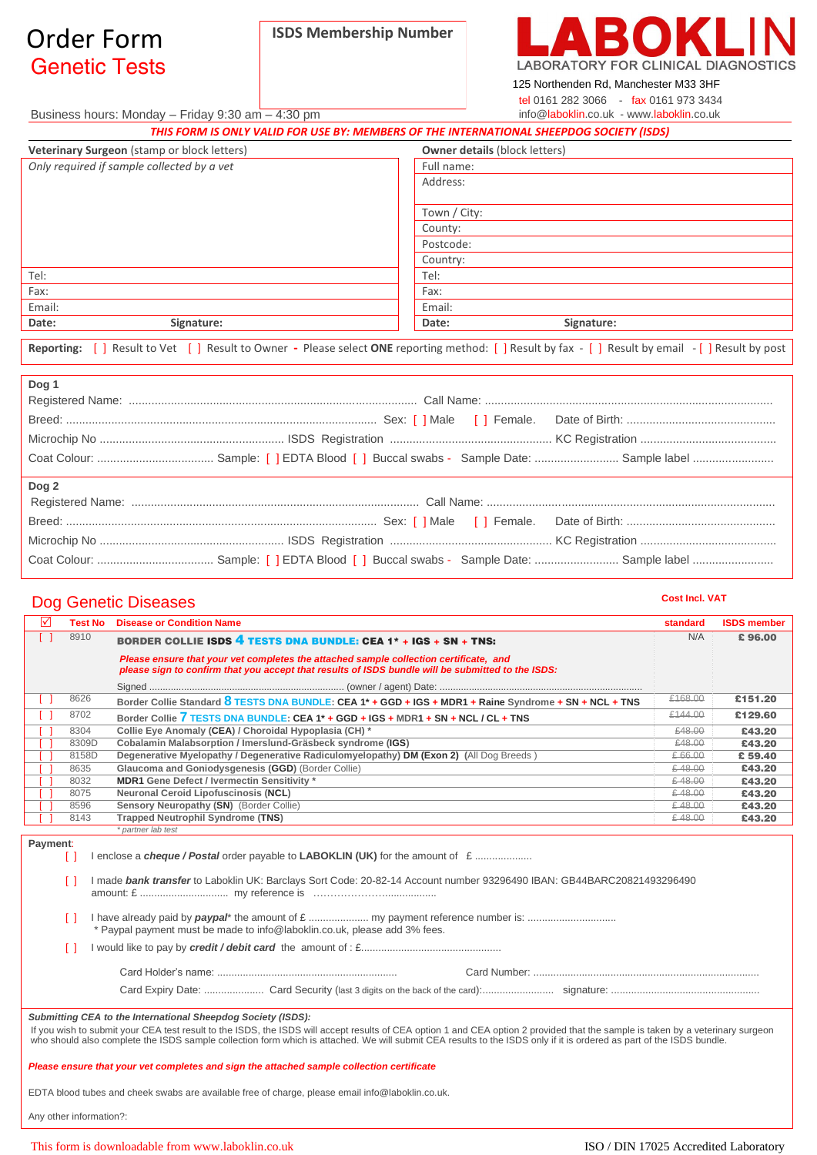## Genetic Tests Order Form **ISDS Membership Number**



125 Northenden Rd, Manchester M33 3HF tel 0161 282 3066 - fax 0161 973 3434 info@laboklin.co.uk - www.laboklin.co.uk

Business hours: Monday – Friday 9:30 am – 4:30 pm

| THIS FORM IS ONLY VALID FOR USE BY: MEMBERS OF THE INTERNATIONAL SHEEPDOG SOCIETY (ISDS) |                                                                                                                             |  |
|------------------------------------------------------------------------------------------|-----------------------------------------------------------------------------------------------------------------------------|--|
| Veterinary Surgeon (stamp or block letters)                                              | <b>Owner details (block letters)</b>                                                                                        |  |
| Only required if sample collected by a vet                                               | Full name:                                                                                                                  |  |
|                                                                                          | Address:                                                                                                                    |  |
|                                                                                          | Town / City:                                                                                                                |  |
|                                                                                          | County:                                                                                                                     |  |
|                                                                                          | Postcode:                                                                                                                   |  |
|                                                                                          | Country:                                                                                                                    |  |
| Tel:                                                                                     | Tel:                                                                                                                        |  |
| Fax:                                                                                     | Fax:                                                                                                                        |  |
| Email:                                                                                   | Email:                                                                                                                      |  |
| Signature:<br>Date:                                                                      | Signature:<br>Date:                                                                                                         |  |
| Renorting:<br>Result to Vet $\begin{bmatrix} 1 \end{bmatrix}$                            | Result to Owner - Please select ONE reporting method: $\Box$ Result by fax - $\Box$ Result by email - $\Box$ Result by nost |  |

**Reporting:** [ ] Result to Vet [ ] Result to Owner **-** Please select **ONE** reporting method: [ ] Result by fax - [ ] Result by email - [ ] Result by post

| Dog 1 |  |
|-------|--|
|       |  |
|       |  |
|       |  |
|       |  |
|       |  |
| Dog 2 |  |
|       |  |
|       |  |
|       |  |

## **Dog Genetic Diseases** Cost Incl. VAT

| ☑              | <b>Test No</b>                                                                            | <b>Disease or Condition Name</b>                                                                                                                                                                                                                                                                                                                                                                                        | standard | <b>ISDS</b> member |
|----------------|-------------------------------------------------------------------------------------------|-------------------------------------------------------------------------------------------------------------------------------------------------------------------------------------------------------------------------------------------------------------------------------------------------------------------------------------------------------------------------------------------------------------------------|----------|--------------------|
| ΓI             | 8910                                                                                      | BORDER COLLIE ISDS 4 TESTS DNA BUNDLE: CEA $1*$ + IGS + SN + TNS:                                                                                                                                                                                                                                                                                                                                                       | N/A      | £96.00             |
|                |                                                                                           | Please ensure that your vet completes the attached sample collection certificate, and<br>please sign to confirm that you accept that results of ISDS bundle will be submitted to the ISDS:                                                                                                                                                                                                                              |          |                    |
|                |                                                                                           |                                                                                                                                                                                                                                                                                                                                                                                                                         |          |                    |
| $\blacksquare$ | 8626                                                                                      | Border Collie Standard 8 TESTS DNA BUNDLE: CEA 1* + GGD + IGS + MDR1 + Raine Syndrome + SN + NCL + TNS                                                                                                                                                                                                                                                                                                                  | £168.00  | £151.20            |
| $\Box$         | 8702                                                                                      | Border Collie 7 TESTS DNA BUNDLE: CEA 1* + GGD + IGS + MDR1 + SN + NCL / CL + TNS                                                                                                                                                                                                                                                                                                                                       | £144.00  | £129.60            |
|                | 8304                                                                                      | Collie Eye Anomaly (CEA) / Choroidal Hypoplasia (CH) *                                                                                                                                                                                                                                                                                                                                                                  | £48.00   | £43.20             |
|                | 8309D                                                                                     | Cobalamin Malabsorption / Imerslund-Gräsbeck syndrome (IGS)                                                                                                                                                                                                                                                                                                                                                             | £48.00   | £43.20             |
|                | 8158D                                                                                     | Degenerative Myelopathy / Degenerative Radiculomyelopathy) DM (Exon 2) (All Dog Breeds)                                                                                                                                                                                                                                                                                                                                 | € 66.00  | £59,40             |
|                | 8635                                                                                      | Glaucoma and Goniodysgenesis (GGD) (Border Collie)                                                                                                                                                                                                                                                                                                                                                                      | €48.00   | £43.20             |
|                | 8032                                                                                      | <b>MDR1 Gene Defect / Ivermectin Sensitivity *</b>                                                                                                                                                                                                                                                                                                                                                                      | €48.00   | £43.20             |
|                | 8075                                                                                      | Neuronal Ceroid Lipofuscinosis (NCL)                                                                                                                                                                                                                                                                                                                                                                                    | €48.00   | £43.20             |
|                | 8596                                                                                      | Sensory Neuropathy (SN) (Border Collie)                                                                                                                                                                                                                                                                                                                                                                                 | €48.00   | £43.20             |
|                | 8143                                                                                      | <b>Trapped Neutrophil Syndrome (TNS)</b>                                                                                                                                                                                                                                                                                                                                                                                | €48.00   | £43.20             |
|                | Ιl<br>$\Box$                                                                              | I made bank transfer to Laboklin UK: Barclays Sort Code: 20-82-14 Account number 93296490 IBAN: GB44BARC20821493296490                                                                                                                                                                                                                                                                                                  |          |                    |
|                |                                                                                           | * Paypal payment must be made to info@laboklin.co.uk, please add 3% fees.                                                                                                                                                                                                                                                                                                                                               |          |                    |
|                |                                                                                           |                                                                                                                                                                                                                                                                                                                                                                                                                         |          |                    |
|                |                                                                                           |                                                                                                                                                                                                                                                                                                                                                                                                                         |          |                    |
|                |                                                                                           |                                                                                                                                                                                                                                                                                                                                                                                                                         |          |                    |
|                | Please ensure that your vet completes and sign the attached sample collection certificate | Submitting CEA to the International Sheepdog Society (ISDS):<br>If you wish to submit your CEA test result to the ISDS, the ISDS will accept results of CEA option 1 and CEA option 2 provided that the sample is taken by a veterinary surgeon<br>who should also complete the ISDS sample collection form which is attached. We will submit CEA results to the ISDS only if it is ordered as part of the ISDS bundle. |          |                    |

EDTA blood tubes and cheek swabs are available free of charge, please email info@laboklin.co.uk.

Any other information?: